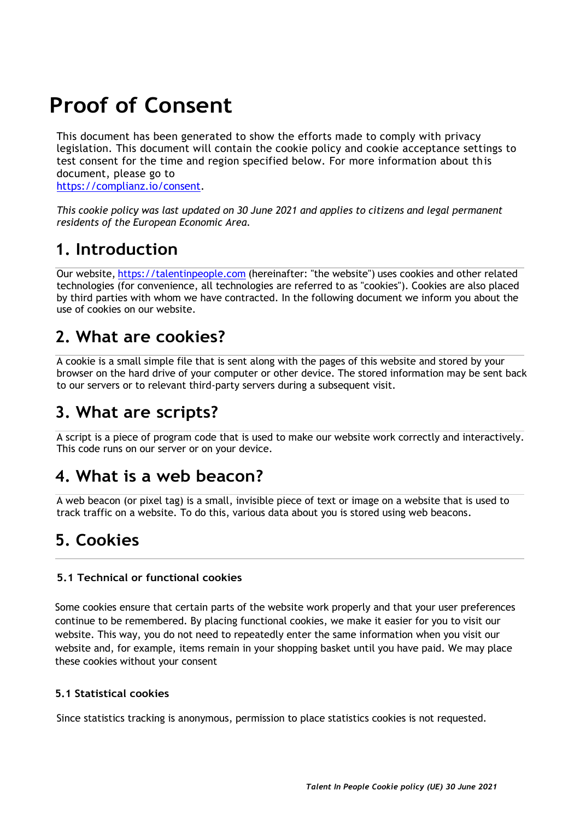# **Proof of Consent**

This document has been generated to show the efforts made to comply with privacy legislation. This document will contain the cookie policy and cookie acceptance settings to test consent for the time and region specified below. For more information about this document, please go to [https://complianz.io/consent.](https://complianz.io/consent)

*This cookie policy was last updated on 30 June 2021 and applies to citizens and legal permanent residents of the European Economic Area.*

## **1. Introduction**

Our website, [https://talentinpeople.com](https://talentinpeople.com/) (hereinafter: "the website") uses cookies and other related technologies (for convenience, all technologies are referred to as "cookies"). Cookies are also placed by third parties with whom we have contracted. In the following document we inform you about the use of cookies on our website.

## **2. What are cookies?**

A cookie is a small simple file that is sent along with the pages of this website and stored by your browser on the hard drive of your computer or other device. The stored information may be sent back to our servers or to relevant third-party servers during a subsequent visit.

## **3. What are scripts?**

A script is a piece of program code that is used to make our website work correctly and interactively. This code runs on our server or on your device.

## **4. What is a web beacon?**

A web beacon (or pixel tag) is a small, invisible piece of text or image on a website that is used to track traffic on a website. To do this, various data about you is stored using web beacons.

## **5. Cookies**

#### **5.1 Technical or functional cookies**

Some cookies ensure that certain parts of the website work properly and that your user preferences continue to be remembered. By placing functional cookies, we make it easier for you to visit our website. This way, you do not need to repeatedly enter the same information when you visit our website and, for example, items remain in your shopping basket until you have paid. We may place these cookies without your consent

#### **5.1 Statistical cookies**

Since statistics tracking is anonymous, permission to place statistics cookies is not requested.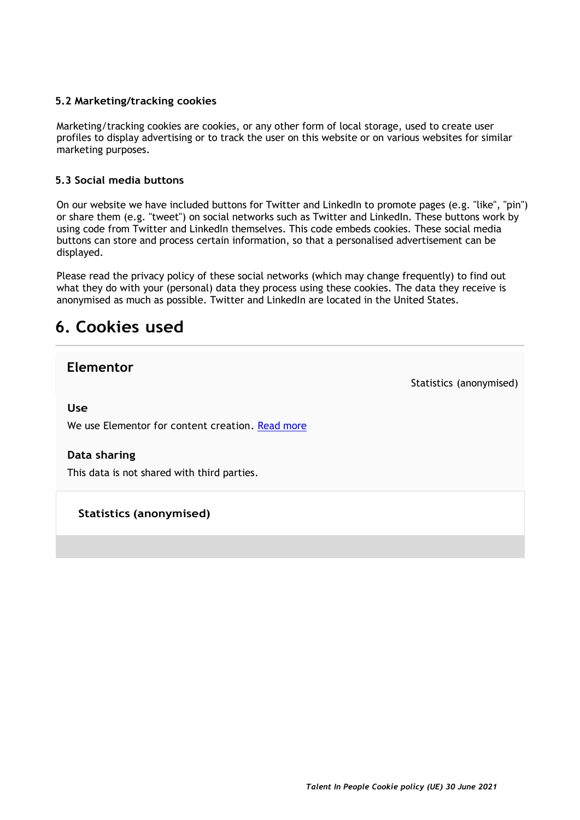#### **5.2 Marketing/tracking cookies**

Marketing/tracking cookies are cookies, or any other form of local storage, used to create user profiles to display advertising or to track the user on this website or on various websites for similar marketing purposes.

#### **5.3 Social media buttons**

On our website we have included buttons for Twitter and LinkedIn to promote pages (e.g. "like", "pin") or share them (e.g. "tweet") on social networks such as Twitter and LinkedIn. These buttons work by using code from Twitter and LinkedIn themselves. This code embeds cookies. These social media buttons can store and process certain information, so that a personalised advertisement can be displayed.

Please read the privacy policy of these social networks (which may change frequently) to find out what they do with your (personal) data they process using these cookies. The data they receive is anonymised as much as possible. Twitter and LinkedIn are located in the United States.

## **6. Cookies used**

### **Elementor**

Statistics (anonymised)

**Use**

We use Elementor for content creation. [Read more](https://cookiedatabase.org/service/elementor)

#### **Data sharing**

This data is not shared with third parties.

**Statistics (anonymised)**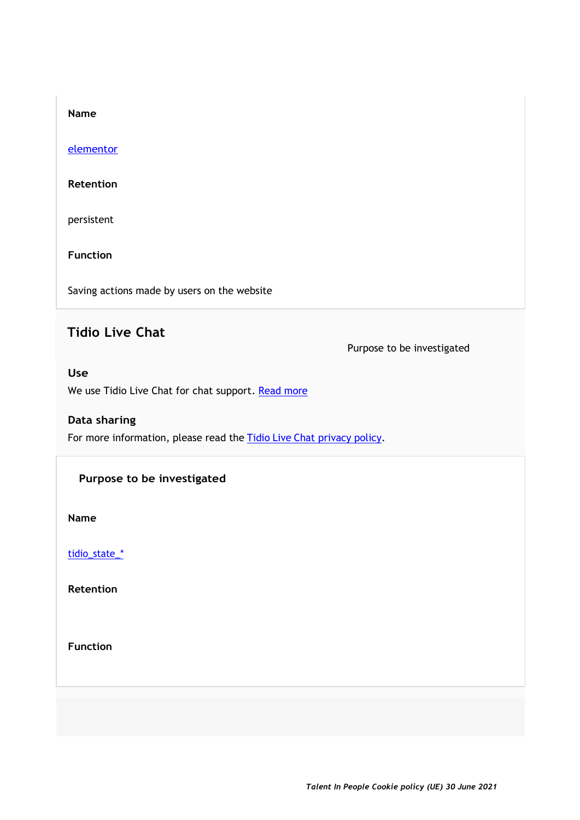#### [elementor](https://cookiedatabase.org/cookie/elementor/elementor)

#### **Retention**

persistent

#### **Function**

Saving actions made by users on the website

## **Tidio Live Chat**

Purpose to be investigated

#### **Use**

We use Tidio Live Chat for chat support. [Read more](https://cookiedatabase.org/service/tidio-live-chat)

#### **Data sharing**

For more information, please read the Tidio Live [Chat privacy policy.](https://www.tidio.com/privacy-policy/)

#### **Purpose to be investigated**

**Name**

[tidio\\_state\\_\\*](https://cookiedatabase.org/cookie/tidio-live-chat/tidio_state_)

**Retention**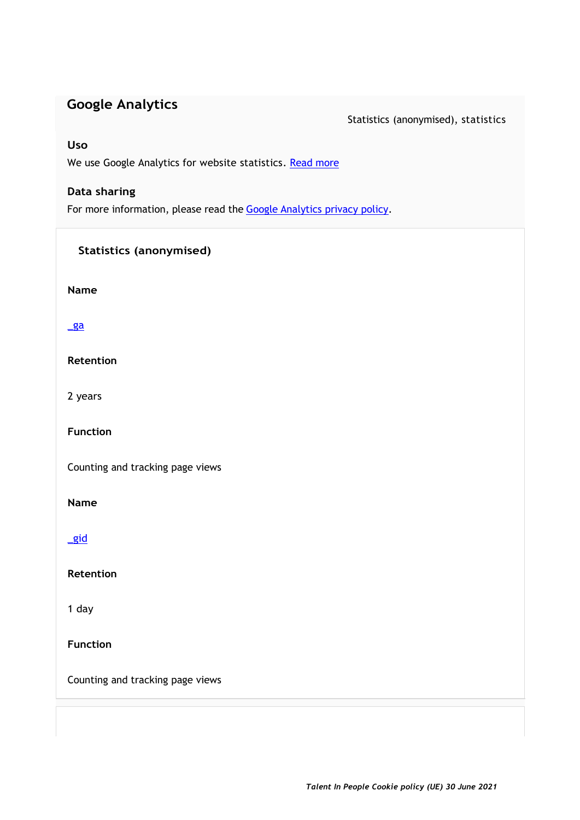## **Google Analytics**

Statistics (anonymised), statistics

#### **Uso**

We use Google Analytics for website statistics. [Read more](https://cookiedatabase.org/service/google-analytics)

#### **Data sharing**

For more information, please read the Google [Analytics privacy policy.](https://policies.google.com/privacy)

### **Statistics (anonymised)**

**Name**

#### [\\_ga](https://cookiedatabase.org/cookie/google-analytics/_ga)

**Retention**

2 years

**Function**

Counting and tracking page views

**Name**

[\\_gid](https://cookiedatabase.org/cookie/google-analytics/_gid)

**Retention**

1 day

**Function**

Counting and tracking page views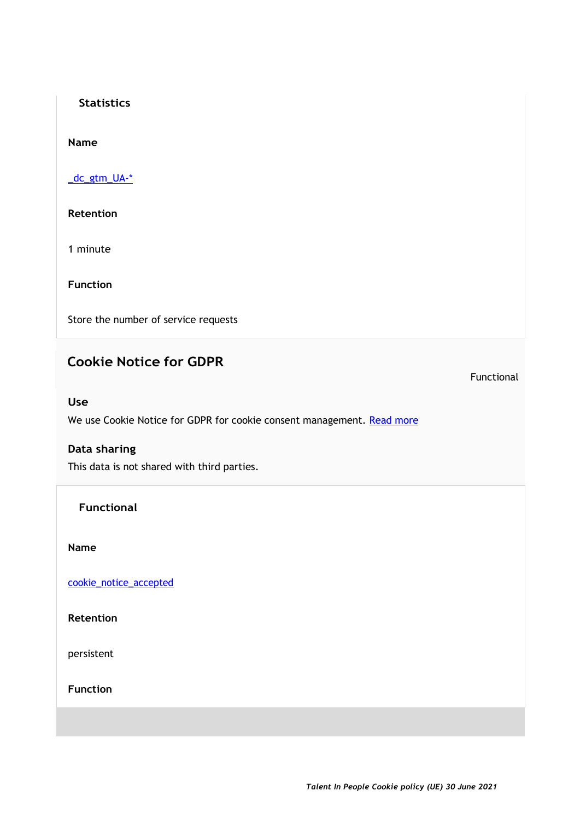#### **Statistics**

#### **Name**

[\\_dc\\_gtm\\_UA-\\*](https://cookiedatabase.org/cookie/google-analytics/_dc_gtm_ua)

**Retention**

1 minute

**Function**

Store the number of service requests

## **Cookie Notice for GDPR**

Functional

#### **Use**

We use Cookie Notice for GDPR for cookie consent management. [Read more](https://cookiedatabase.org/service/cookie-notice-for-gdpr)

#### **Data sharing**

This data is not shared with third parties.

**Functional**

**Name**

[cookie\\_notice\\_accepted](https://cookiedatabase.org/cookie/cookie-notice-for-gdpr/cookie_notice_accepted)

**Retention**

persistent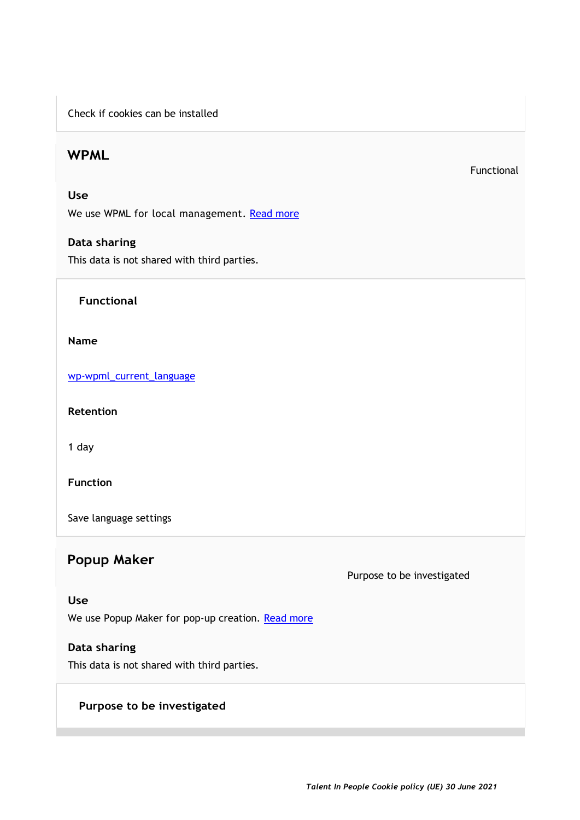Check if cookies can be installed

### **WPML**

Functional

#### **Use**

We use WPML for local management. [Read more](https://cookiedatabase.org/service/wpml)

#### **Data sharing**

This data is not shared with third parties.

#### **Functional**

#### **Name**

[wp-wpml\\_current\\_language](https://cookiedatabase.org/cookie/wpml/wp-wpml_current_language)

**Retention**

1 day

#### **Function**

Save language settings

## **Popup Maker**

#### Purpose to be investigated

#### **Use**

We use Popup Maker for pop-up creation. [Read more](https://cookiedatabase.org/service/popup-maker)

#### **Data sharing**

This data is not shared with third parties.

#### **Purpose to be investigated**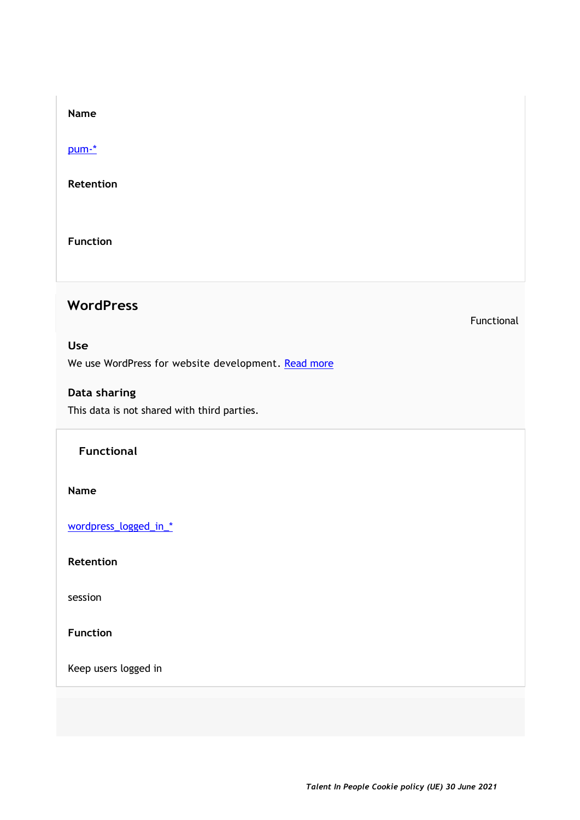[pum-\\*](https://cookiedatabase.org/cookie/popup-maker/pum)

**Retention**

**Function**

## **WordPress**

Functional

#### **Use**

We use WordPress for website development. [Read more](https://cookiedatabase.org/service/wordpress)

### **Data sharing**

This data is not shared with third parties.

#### **Functional**

**Name**

[wordpress\\_logged\\_in\\_\\*](https://cookiedatabase.org/cookie/wordpress/wordpress_logged_in_0fccad09e111918db6363377b39bc8af)

**Retention**

session

**Function**

Keep users logged in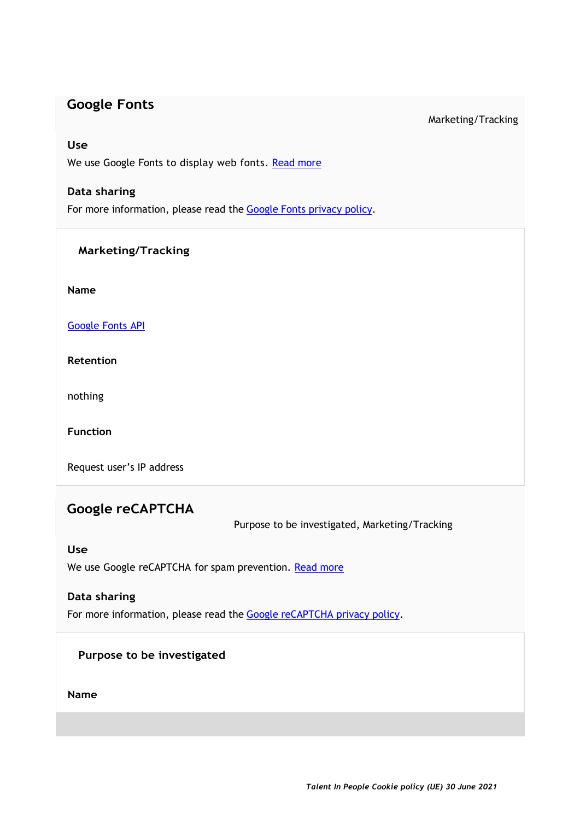### **Google Fonts**

#### Marketing/Tracking

#### **Use**

We use Google Fonts to display web fonts. [Read more](https://cookiedatabase.org/service/google-fonts)

#### **Data sharing**

For more information, please read the Google [Fonts privacy policy.](https://policies.google.com/privacy)

#### **Marketing/Tracking**

**Name**

[Google](https://cookiedatabase.org/cookie/google-fonts/tcb_google_fonts) Fonts API

**Retention**

nothing

**Function**

Request user's IP address

## **Google reCAPTCHA**

Purpose to be investigated, Marketing/Tracking

#### **Use**

We use Google reCAPTCHA for spam prevention. [Read more](https://cookiedatabase.org/service/google-recaptcha)

### **Data sharing**

For more information, please read the Google [reCAPTCHA privacy policy.](https://policies.google.com/privacy)

### **Purpose to be investigated**

**Name**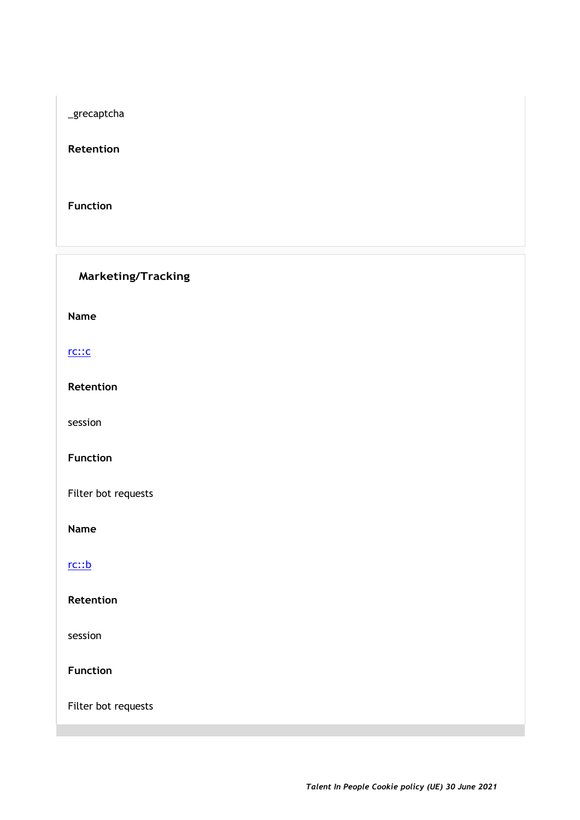\_grecaptcha

**Retention**

**Function**

**Marketing/Tracking**

**Name**

[rc::c](https://cookiedatabase.org/cookie/google-recaptcha/rcc)

**Retention**

session

**Function**

Filter bot requests

**Name**

[rc::b](https://cookiedatabase.org/cookie/google-recaptcha/rcb)

**Retention**

session

**Function**

Filter bot requests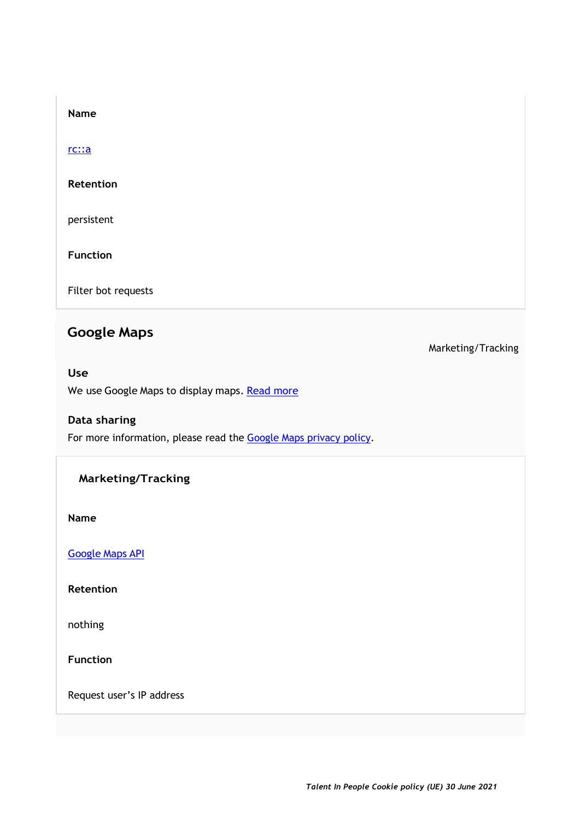#### [rc::a](https://cookiedatabase.org/cookie/google-recaptcha/rca)

#### **Retention**

persistent

**Function**

Filter bot requests

## **Google Maps**

#### **Use**

We use Google Maps to display maps. [Read more](https://cookiedatabase.org/service/google-maps)

#### **Data sharing**

For more information, please read the Google [Maps privacy policy.](https://policies.google.com/privacy)

#### **Marketing/Tracking**

**Name**

[Google](https://cookiedatabase.org/cookie/google-maps/google-maps-api) Maps API

**Retention**

nothing

**Function**

Request user's IP address

Marketing/Tracking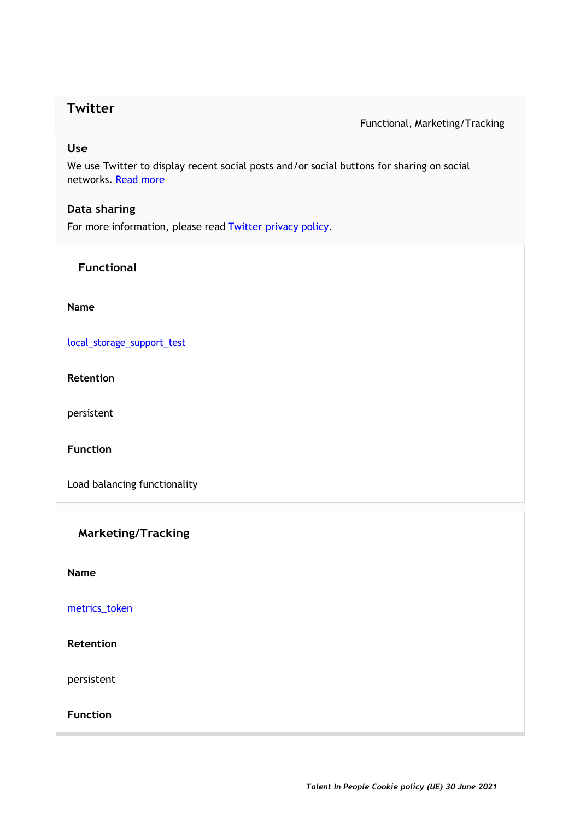### **Twitter**

Functional, Marketing/Tracking

#### **Use**

We use Twitter to display recent social posts and/or social buttons for sharing on social networks. [Read more](https://cookiedatabase.org/service/twitter)

#### **Data sharing**

For more information, please read **Twitter privacy policy**.

**Functional**

#### **Name**

[local\\_storage\\_support\\_test](https://cookiedatabase.org/cookie/twitter/local_storage_support_test)

**Retention**

persistent

**Function**

Load balancing functionality

**Marketing/Tracking**

**Name**

[metrics\\_token](https://cookiedatabase.org/cookie/twitter/metrics_token)

**Retention**

persistent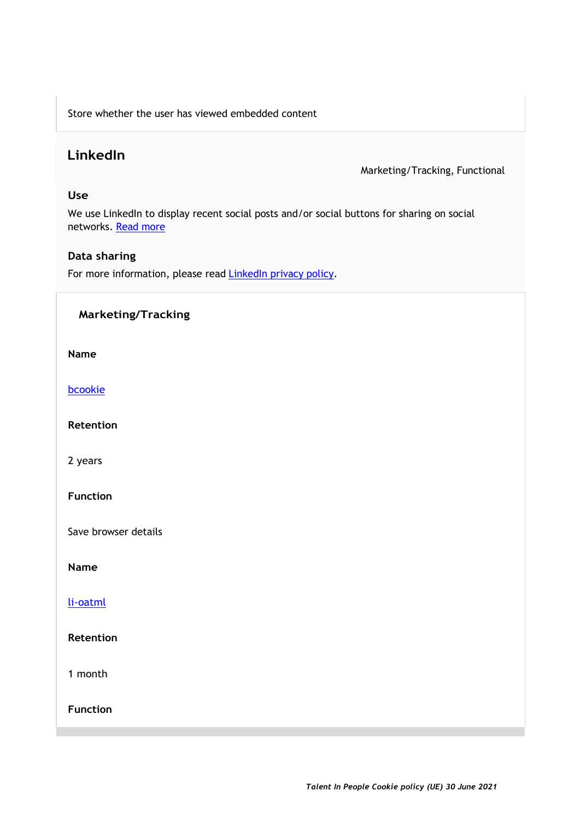Store whether the user has viewed embedded content

## **LinkedIn**

Marketing/Tracking, Functional

#### **Use**

We use LinkedIn to display recent social posts and/or social buttons for sharing on social networks. [Read more](https://cookiedatabase.org/service/linkedin)

#### **Data sharing**

For more information, please read **LinkedIn privacy policy**.

#### **Marketing/Tracking**

**Name**

[bcookie](https://cookiedatabase.org/cookie/linkedin/bcookie-2)

**Retention**

2 years

**Function**

Save browser details

**Name**

[li-oatml](https://cookiedatabase.org/cookie/linkedin/li-oatml)

**Retention**

1 month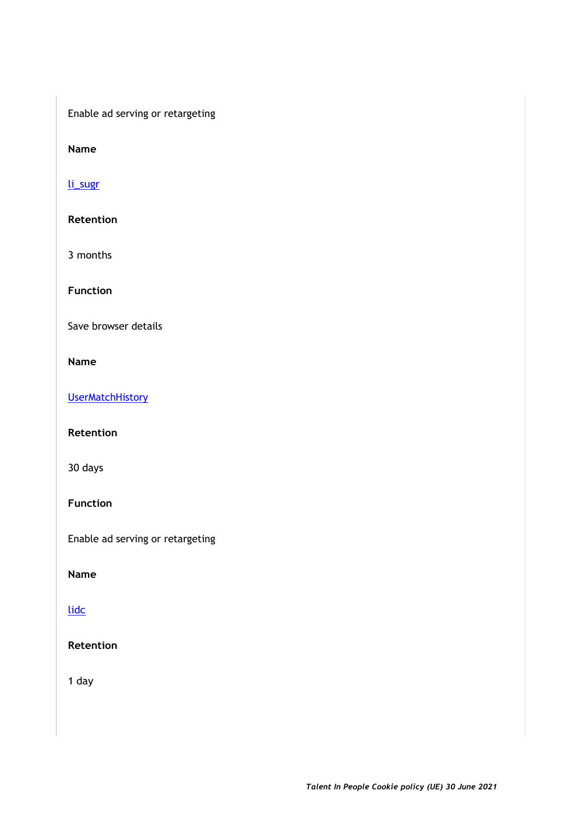Enable ad serving or retargeting

**Name**

[li\\_sugr](https://cookiedatabase.org/cookie/linkedin/li_sugr)

**Retention**

3 months

**Function**

Save browser details

**Name** 

**[UserMatchHistory](https://cookiedatabase.org/cookie/linkedin/usermatchhistory)** 

**Retention**

30 days

**Function**

Enable ad serving or retargeting

**Name**

[lidc](https://cookiedatabase.org/cookie/linkedin/lidc)

**Retention**

1 day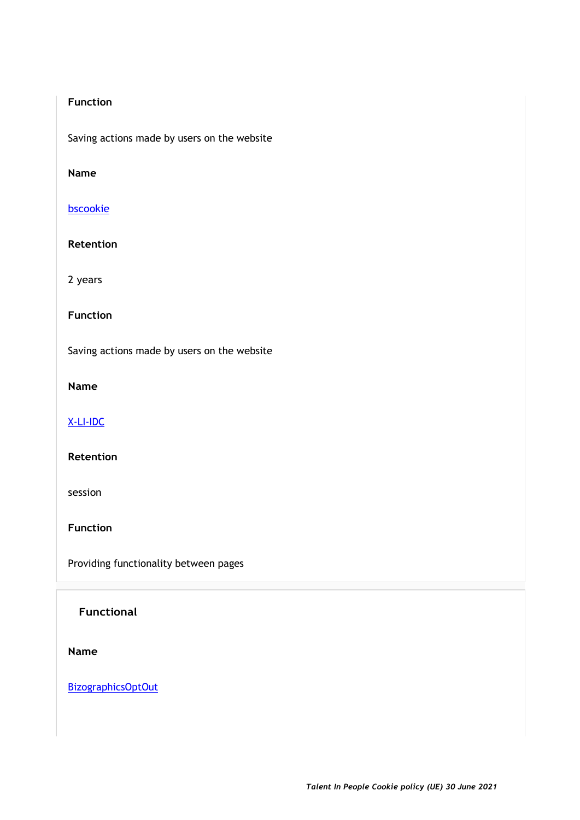#### **Function**

Saving actions made by users on the website

#### **Name**

#### [bscookie](https://cookiedatabase.org/cookie/linkedin/bscookie)

#### **Retention**

2 years

#### **Function**

Saving actions made by users on the website

#### **Name**

#### [X-LI-IDC](https://cookiedatabase.org/cookie/linkedin/x-li-idc)

#### **Retention**

session

**Function**

Providing functionality between pages

#### **Functional**

#### **Name**

**[BizographicsOptOut](https://cookiedatabase.org/cookie/linkedin/bizographicsoptout)**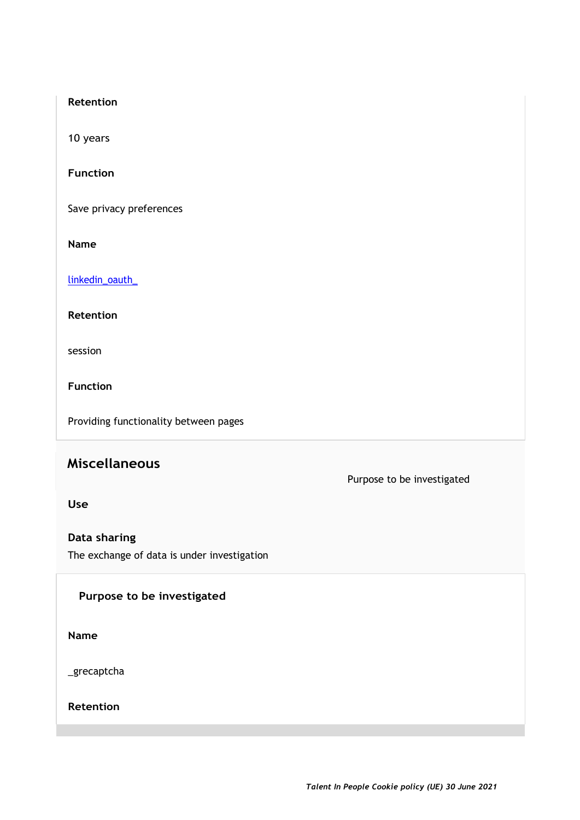#### **Retention**

10 years

**Function**

Save privacy preferences

**Name**

[linkedin\\_oauth\\_](https://cookiedatabase.org/cookie/linkedin/linkedin_oauth_)

**Retention**

session

**Function**

Providing functionality between pages

## **Miscellaneous**

Purpose to be investigated

**Use**

**Data sharing** The exchange of data is under investigation

#### **Purpose to be investigated**

**Name**

\_grecaptcha

**Retention**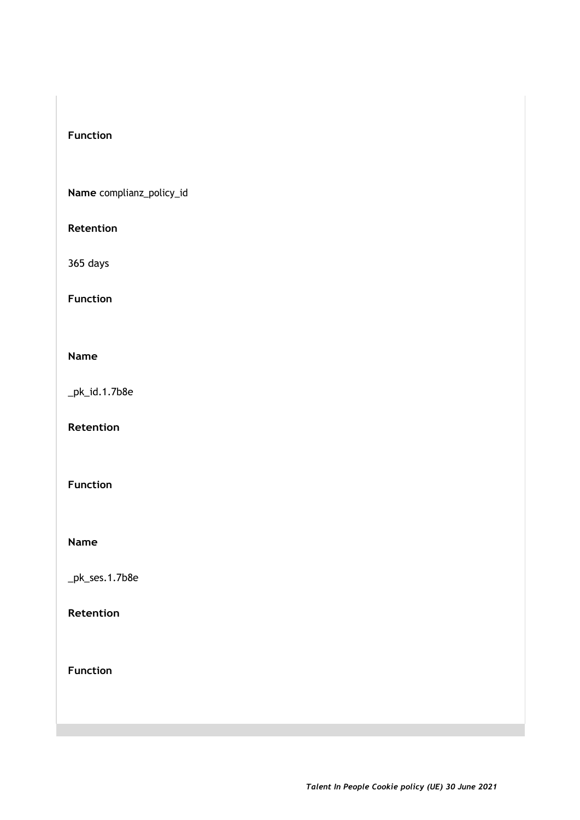#### **Function**

**Name** complianz\_policy\_id

#### **Retention**

365 days

#### **Function**

#### **Name**

\_pk\_id.1.7b8e

**Retention**

**Function**

#### **Name**

\_pk\_ses.1.7b8e

### **Retention**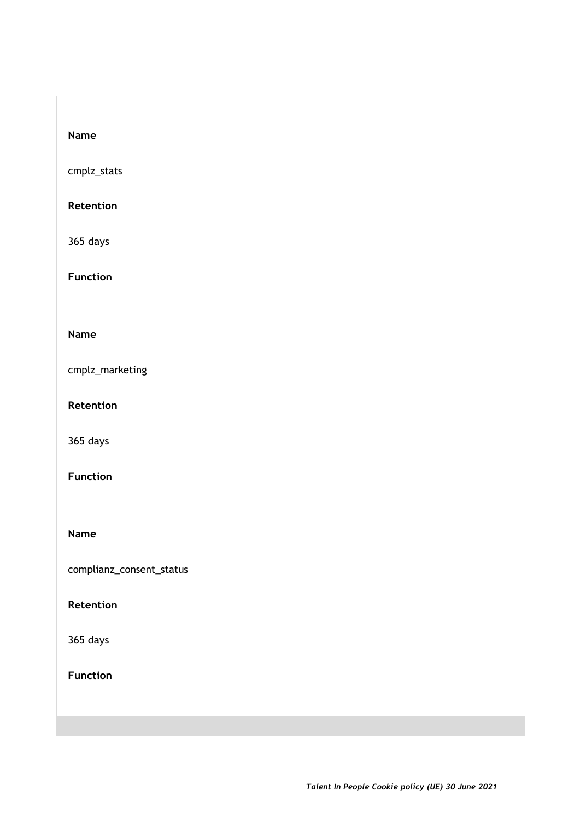cmplz\_stats

#### **Retention**

365 days

**Function**

#### **Name**

cmplz\_marketing

**Retention**

365 days

#### **Function**

**Name**

complianz\_consent\_status

#### **Retention**

365 days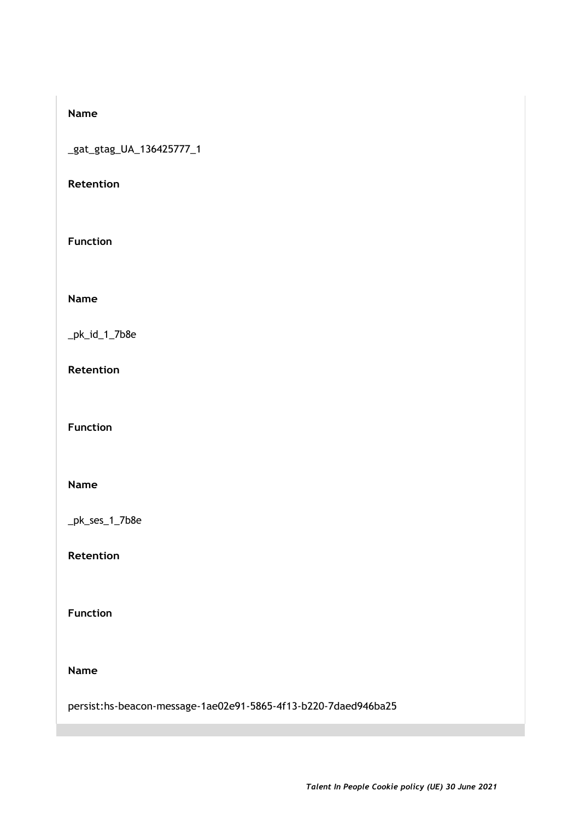\_gat\_gtag\_UA\_136425777\_1

#### **Retention**

**Function**

**Name**

\_pk\_id\_1\_7b8e

**Retention**

**Function**

#### **Name**

\_pk\_ses\_1\_7b8e

**Retention**

**Function**

**Name**

persist:hs-beacon-message-1ae02e91-5865-4f13-b220-7daed946ba25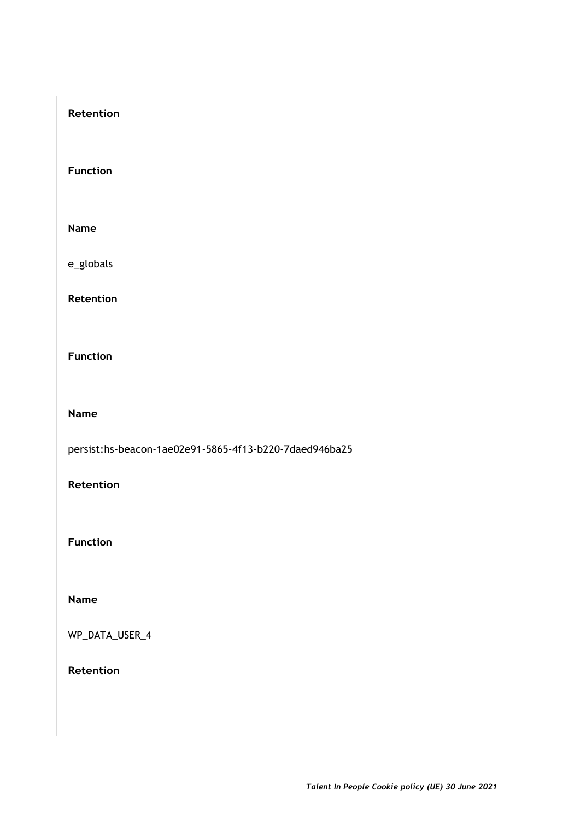#### **Retention**

**Function**

**Name**

e\_globals

**Retention**

**Function**

**Name**

persist:hs-beacon-1ae02e91-5865-4f13-b220-7daed946ba25

**Retention**

**Function**

**Name**

WP\_DATA\_USER\_4

**Retention**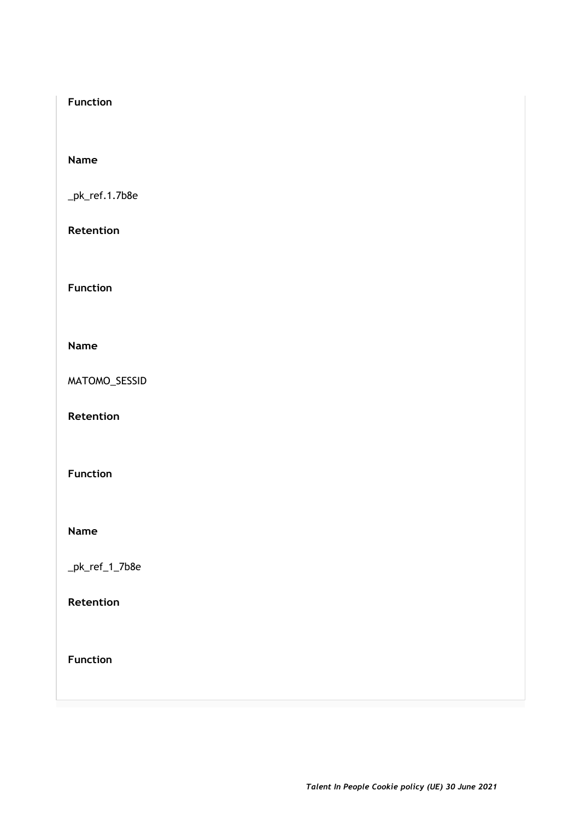#### **Function**

#### **Name**

\_pk\_ref.1.7b8e

#### **Retention**

**Function**

#### **Name**

MATOMO\_SESSID

**Retention**

#### **Function**

**Name**

\_pk\_ref\_1\_7b8e

#### **Retention**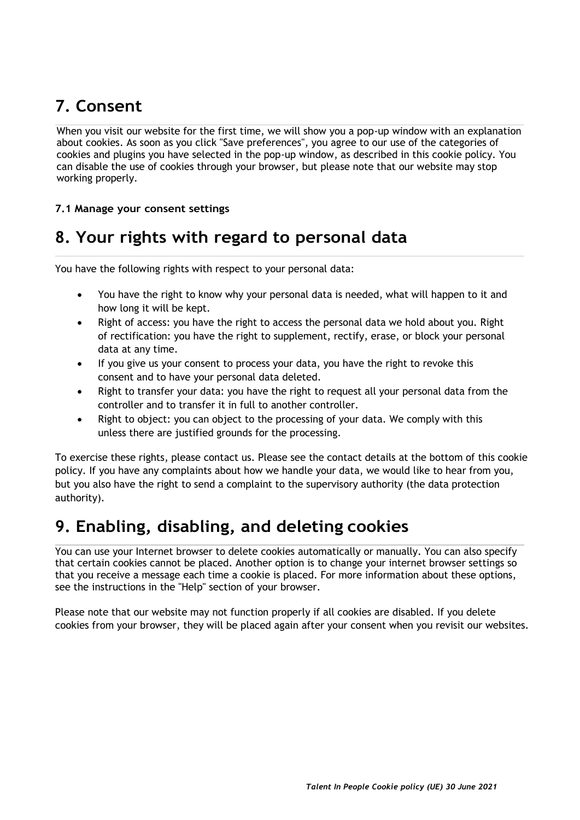## **7. Consent**

When you visit our website for the first time, we will show you a pop-up window with an explanation about cookies. As soon as you click "Save preferences", you agree to our use of the categories of cookies and plugins you have selected in the pop-up window, as described in this cookie policy. You can disable the use of cookies through your browser, but please note that our website may stop working properly.

#### **7.1 Manage your consent settings**

## **8. Your rights with regard to personal data**

You have the following rights with respect to your personal data:

- You have the right to know why your personal data is needed, what will happen to it and how long it will be kept.
- Right of access: you have the right to access the personal data we hold about you. Right of rectification: you have the right to supplement, rectify, erase, or block your personal data at any time.
- If you give us your consent to process your data, you have the right to revoke this consent and to have your personal data deleted.
- Right to transfer your data: you have the right to request all your personal data from the controller and to transfer it in full to another controller.
- Right to object: you can object to the processing of your data. We comply with this unless there are justified grounds for the processing.

To exercise these rights, please contact us. Please see the contact details at the bottom of this cookie policy. If you have any complaints about how we handle your data, we would like to hear from you, but you also have the right to send a complaint to the supervisory authority (the data protection authority).

## **9. Enabling, disabling, and deleting cookies**

You can use your Internet browser to delete cookies automatically or manually. You can also specify that certain cookies cannot be placed. Another option is to change your internet browser settings so that you receive a message each time a cookie is placed. For more information about these options, see the instructions in the "Help" section of your browser.

Please note that our website may not function properly if all cookies are disabled. If you delete cookies from your browser, they will be placed again after your consent when you revisit our websites.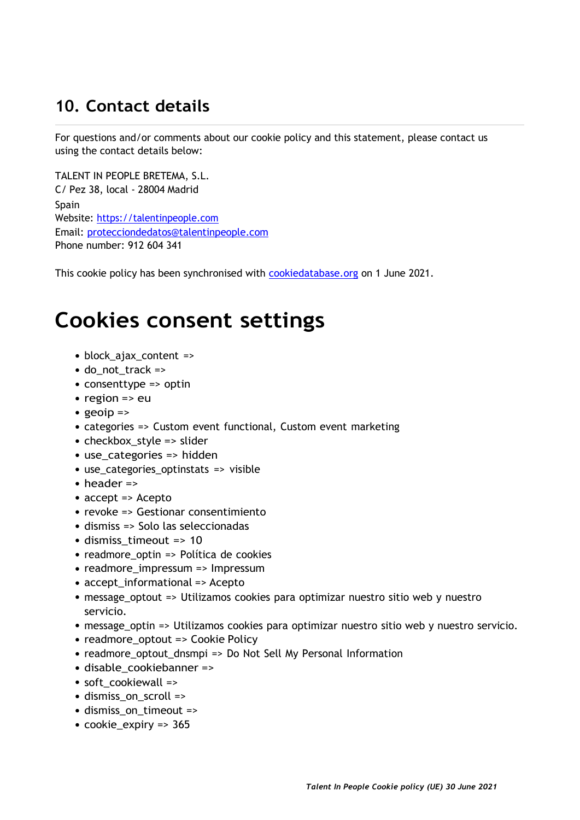## **10. Contact details**

For questions and/or comments about our cookie policy and this statement, please contact us using the contact details below:

TALENT IN PEOPLE BRETEMA, S.L. C/ Pez 38, local - 28004 Madrid Spain Website: https://talentinpeople.com Email: protecciondedatos@talentinpeople.com Phone number: 912 604 341

This cookie policy has been synchronised with **cookiedatabase.org** on 1 June 2021.

# **Cookies consent settings**

- block\_ajax\_content =>
- $\bullet$  do\_not\_track =>
- consenttype => optin
- $\cdot$  region => eu
- geoip  $\Rightarrow$
- categories => Custom event functional, Custom event marketing
- checkbox\_style => slider
- use\_categories => hidden
- use\_categories\_optinstats => visible
- header =>
- accept => Acepto
- revoke => Gestionar consentimiento
- dismiss => Solo las seleccionadas
- dismiss\_timeout => 10
- readmore optin => Política de cookies
- readmore\_impressum => Impressum
- accept\_informational => Acepto
- message\_optout => Utilizamos cookies para optimizar nuestro sitio web y nuestro servicio.
- message\_optin => Utilizamos cookies para optimizar nuestro sitio web y nuestro servicio.
- readmore\_optout => Cookie Policy
- readmore\_optout\_dnsmpi => Do Not Sell My Personal Information
- disable\_cookiebanner =>
- soft\_cookiewall =>
- dismiss\_on\_scroll =>
- dismiss on timeout =>
- cookie\_expiry => 365